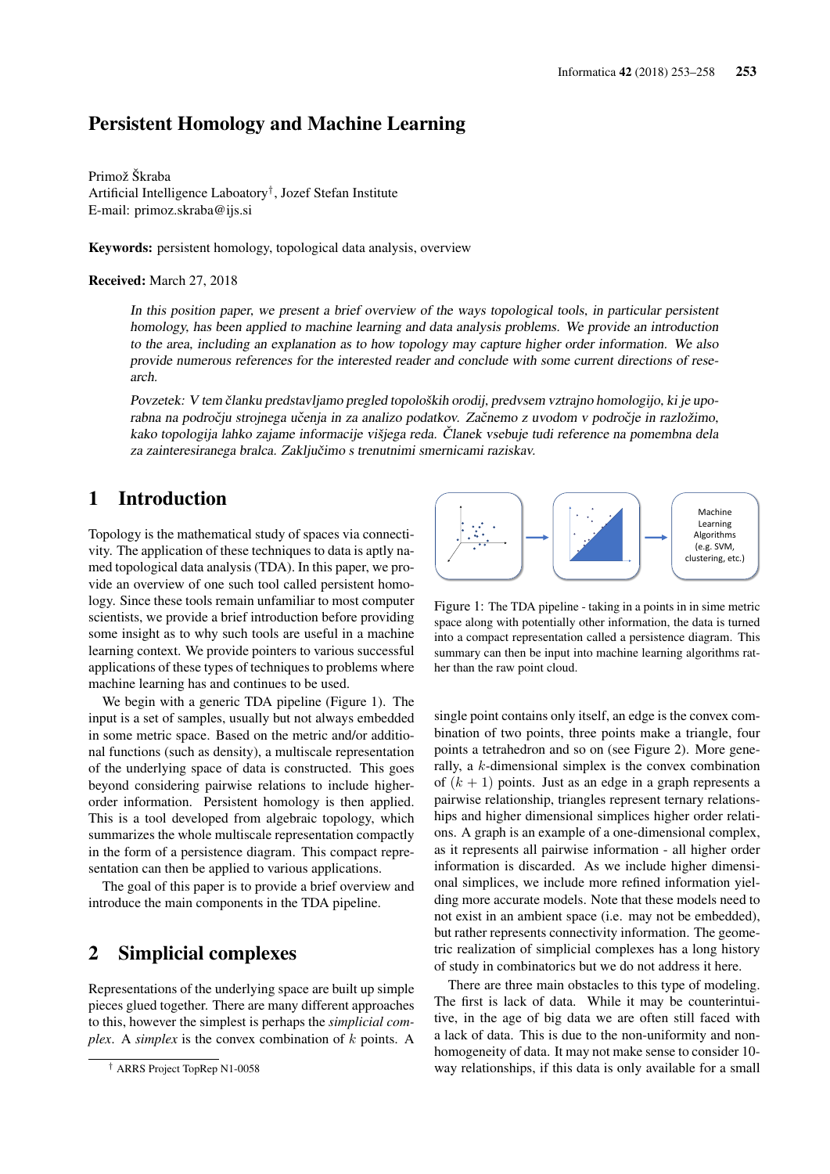## Persistent Homology and Machine Learning

Primož Škraba Artificial Intelligence Laboatory† , Jozef Stefan Institute E-mail: primoz.skraba@ijs.si

Keywords: persistent homology, topological data analysis, overview

#### Received: March 27, 2018

In this position paper, we present a brief overview of the ways topological tools, in particular persistent homology, has been applied to machine learning and data analysis problems. We provide an introduction to the area, including an explanation as to how topology may capture higher order information. We also provide numerous references for the interested reader and conclude with some current directions of research.

Povzetek: V tem članku predstavljamo pregled topoloških orodij, predvsem vztrajno homologijo, ki je uporabna na področju strojnega učenja in za analizo podatkov. Začnemo z uvodom v področje in razložimo, kako topologija lahko zajame informacije višjega reda. Članek vsebuje tudi reference na pomembna dela za zainteresiranega bralca. Zaključimo s trenutnimi smernicami raziskav.

### 1 Introduction

Topology is the mathematical study of spaces via connectivity. The application of these techniques to data is aptly named topological data analysis (TDA). In this paper, we provide an overview of one such tool called persistent homology. Since these tools remain unfamiliar to most computer scientists, we provide a brief introduction before providing some insight as to why such tools are useful in a machine learning context. We provide pointers to various successful applications of these types of techniques to problems where machine learning has and continues to be used.

We begin with a generic TDA pipeline (Figure 1). The input is a set of samples, usually but not always embedded in some metric space. Based on the metric and/or additional functions (such as density), a multiscale representation of the underlying space of data is constructed. This goes beyond considering pairwise relations to include higherorder information. Persistent homology is then applied. This is a tool developed from algebraic topology, which summarizes the whole multiscale representation compactly in the form of a persistence diagram. This compact representation can then be applied to various applications.

The goal of this paper is to provide a brief overview and introduce the main components in the TDA pipeline.

## 2 Simplicial complexes

Representations of the underlying space are built up simple pieces glued together. There are many different approaches to this, however the simplest is perhaps the *simplicial complex*. A *simplex* is the convex combination of k points. A



Figure 1: The TDA pipeline - taking in a points in in sime metric space along with potentially other information, the data is turned into a compact representation called a persistence diagram. This summary can then be input into machine learning algorithms rather than the raw point cloud.

single point contains only itself, an edge is the convex combination of two points, three points make a triangle, four points a tetrahedron and so on (see Figure 2). More generally, a k-dimensional simplex is the convex combination of  $(k + 1)$  points. Just as an edge in a graph represents a pairwise relationship, triangles represent ternary relationships and higher dimensional simplices higher order relations. A graph is an example of a one-dimensional complex, as it represents all pairwise information - all higher order information is discarded. As we include higher dimensional simplices, we include more refined information yielding more accurate models. Note that these models need to not exist in an ambient space (i.e. may not be embedded), but rather represents connectivity information. The geometric realization of simplicial complexes has a long history of study in combinatorics but we do not address it here.

There are three main obstacles to this type of modeling. The first is lack of data. While it may be counterintuitive, in the age of big data we are often still faced with a lack of data. This is due to the non-uniformity and nonhomogeneity of data. It may not make sense to consider 10 way relationships, if this data is only available for a small

<sup>†</sup> ARRS Project TopRep N1-0058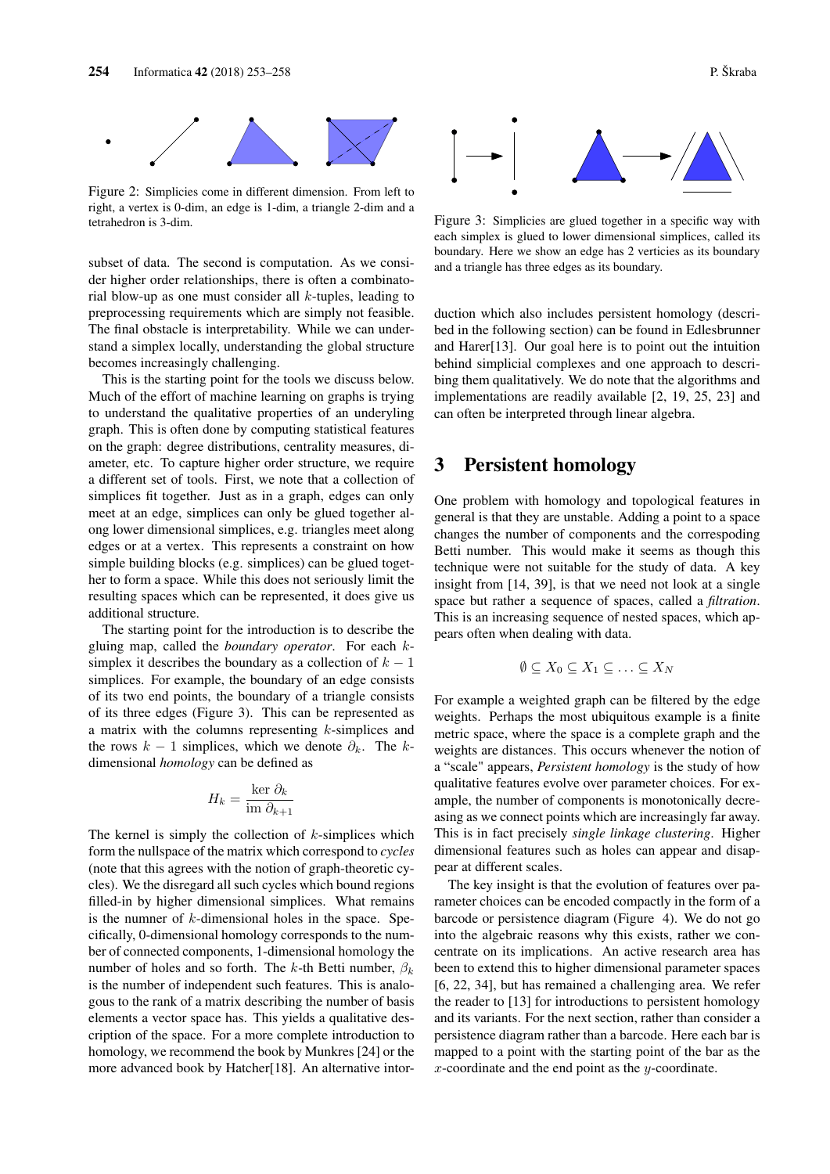

Figure 2: Simplicies come in different dimension. From left to right, a vertex is 0-dim, an edge is 1-dim, a triangle 2-dim and a tetrahedron is 3-dim.

subset of data. The second is computation. As we consider higher order relationships, there is often a combinatorial blow-up as one must consider all  $k$ -tuples, leading to preprocessing requirements which are simply not feasible. The final obstacle is interpretability. While we can understand a simplex locally, understanding the global structure becomes increasingly challenging.

This is the starting point for the tools we discuss below. Much of the effort of machine learning on graphs is trying to understand the qualitative properties of an underyling graph. This is often done by computing statistical features on the graph: degree distributions, centrality measures, diameter, etc. To capture higher order structure, we require a different set of tools. First, we note that a collection of simplices fit together. Just as in a graph, edges can only meet at an edge, simplices can only be glued together along lower dimensional simplices, e.g. triangles meet along edges or at a vertex. This represents a constraint on how simple building blocks (e.g. simplices) can be glued together to form a space. While this does not seriously limit the resulting spaces which can be represented, it does give us additional structure.

The starting point for the introduction is to describe the gluing map, called the *boundary operator*. For each ksimplex it describes the boundary as a collection of  $k - 1$ simplices. For example, the boundary of an edge consists of its two end points, the boundary of a triangle consists of its three edges (Figure 3). This can be represented as a matrix with the columns representing k-simplices and the rows  $k - 1$  simplices, which we denote  $\partial_k$ . The kdimensional *homology* can be defined as

$$
H_k = \frac{\ker \partial_k}{\operatorname{im} \partial_{k+1}}
$$

The kernel is simply the collection of  $k$ -simplices which form the nullspace of the matrix which correspond to *cycles* (note that this agrees with the notion of graph-theoretic cycles). We the disregard all such cycles which bound regions filled-in by higher dimensional simplices. What remains is the numner of  $k$ -dimensional holes in the space. Specifically, 0-dimensional homology corresponds to the number of connected components, 1-dimensional homology the number of holes and so forth. The k-th Betti number,  $\beta_k$ is the number of independent such features. This is analogous to the rank of a matrix describing the number of basis elements a vector space has. This yields a qualitative description of the space. For a more complete introduction to homology, we recommend the book by Munkres [24] or the more advanced book by Hatcher[18]. An alternative intor-



Figure 3: Simplicies are glued together in a specific way with each simplex is glued to lower dimensional simplices, called its boundary. Here we show an edge has 2 verticies as its boundary and a triangle has three edges as its boundary.

duction which also includes persistent homology (described in the following section) can be found in Edlesbrunner and Harer[13]. Our goal here is to point out the intuition behind simplicial complexes and one approach to describing them qualitatively. We do note that the algorithms and implementations are readily available [2, 19, 25, 23] and can often be interpreted through linear algebra.

### 3 Persistent homology

One problem with homology and topological features in general is that they are unstable. Adding a point to a space changes the number of components and the correspoding Betti number. This would make it seems as though this technique were not suitable for the study of data. A key insight from [14, 39], is that we need not look at a single space but rather a sequence of spaces, called a *filtration*. This is an increasing sequence of nested spaces, which appears often when dealing with data.

$$
\emptyset \subseteq X_0 \subseteq X_1 \subseteq \ldots \subseteq X_N
$$

For example a weighted graph can be filtered by the edge weights. Perhaps the most ubiquitous example is a finite metric space, where the space is a complete graph and the weights are distances. This occurs whenever the notion of a "scale" appears, *Persistent homology* is the study of how qualitative features evolve over parameter choices. For example, the number of components is monotonically decreasing as we connect points which are increasingly far away. This is in fact precisely *single linkage clustering*. Higher dimensional features such as holes can appear and disappear at different scales.

The key insight is that the evolution of features over parameter choices can be encoded compactly in the form of a barcode or persistence diagram (Figure 4). We do not go into the algebraic reasons why this exists, rather we concentrate on its implications. An active research area has been to extend this to higher dimensional parameter spaces [6, 22, 34], but has remained a challenging area. We refer the reader to [13] for introductions to persistent homology and its variants. For the next section, rather than consider a persistence diagram rather than a barcode. Here each bar is mapped to a point with the starting point of the bar as the  $x$ -coordinate and the end point as the  $y$ -coordinate.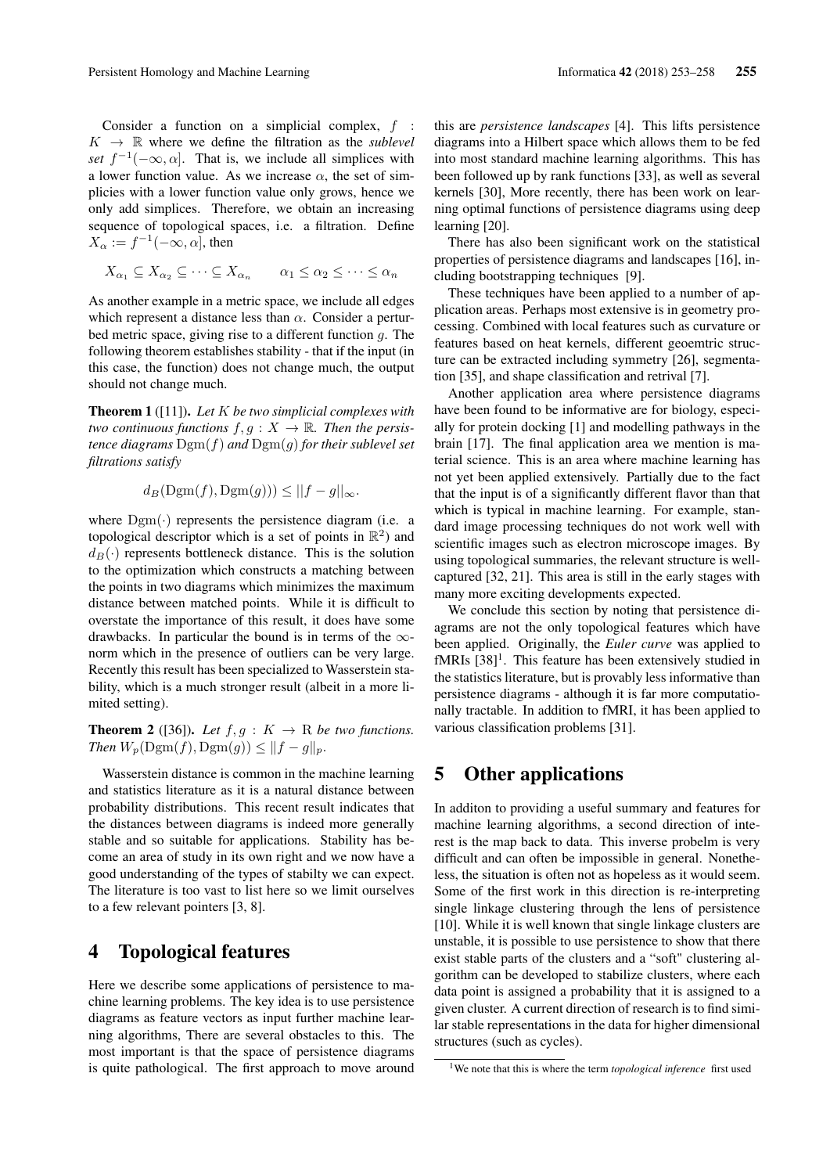Consider a function on a simplicial complex,  $f$  :  $K \rightarrow \mathbb{R}$  where we define the filtration as the *sublevel set*  $f^{-1}(-\infty, \alpha]$ . That is, we include all simplices with a lower function value. As we increase  $\alpha$ , the set of simplicies with a lower function value only grows, hence we only add simplices. Therefore, we obtain an increasing sequence of topological spaces, i.e. a filtration. Define  $X_{\alpha} := f^{-1}(-\infty, \alpha]$ , then

$$
X_{\alpha_1} \subseteq X_{\alpha_2} \subseteq \cdots \subseteq X_{\alpha_n} \qquad \alpha_1 \le \alpha_2 \le \cdots \le \alpha_n
$$

As another example in a metric space, we include all edges which represent a distance less than  $\alpha$ . Consider a perturbed metric space, giving rise to a different function g. The following theorem establishes stability - that if the input (in this case, the function) does not change much, the output should not change much.

Theorem 1 ([11]). *Let* K *be two simplicial complexes with two continuous functions*  $f, g: X \to \mathbb{R}$ *. Then the persistence diagrams* Dgm(f) *and* Dgm(g) *for their sublevel set filtrations satisfy*

$$
d_B(\mathrm{Dgm}(f), \mathrm{Dgm}(g))) \le ||f - g||_{\infty}.
$$

where  $Dgm(\cdot)$  represents the persistence diagram (i.e. a topological descriptor which is a set of points in  $\mathbb{R}^2$ ) and  $d_B(\cdot)$  represents bottleneck distance. This is the solution to the optimization which constructs a matching between the points in two diagrams which minimizes the maximum distance between matched points. While it is difficult to overstate the importance of this result, it does have some drawbacks. In particular the bound is in terms of the  $\infty$ norm which in the presence of outliers can be very large. Recently this result has been specialized to Wasserstein stability, which is a much stronger result (albeit in a more limited setting).

**Theorem 2** ([36]). Let  $f, g: K \to \mathbb{R}$  be two functions. *Then*  $W_p(\text{Dgm}(f), \text{Dgm}(g)) \leq ||f - g||_p$ .

Wasserstein distance is common in the machine learning and statistics literature as it is a natural distance between probability distributions. This recent result indicates that the distances between diagrams is indeed more generally stable and so suitable for applications. Stability has become an area of study in its own right and we now have a good understanding of the types of stabilty we can expect. The literature is too vast to list here so we limit ourselves to a few relevant pointers [3, 8].

### 4 Topological features

Here we describe some applications of persistence to machine learning problems. The key idea is to use persistence diagrams as feature vectors as input further machine learning algorithms, There are several obstacles to this. The most important is that the space of persistence diagrams is quite pathological. The first approach to move around this are *persistence landscapes* [4]. This lifts persistence diagrams into a Hilbert space which allows them to be fed into most standard machine learning algorithms. This has been followed up by rank functions [33], as well as several kernels [30], More recently, there has been work on learning optimal functions of persistence diagrams using deep learning [20].

There has also been significant work on the statistical properties of persistence diagrams and landscapes [16], including bootstrapping techniques [9].

These techniques have been applied to a number of application areas. Perhaps most extensive is in geometry processing. Combined with local features such as curvature or features based on heat kernels, different geoemtric structure can be extracted including symmetry [26], segmentation [35], and shape classification and retrival [7].

Another application area where persistence diagrams have been found to be informative are for biology, especially for protein docking [1] and modelling pathways in the brain [17]. The final application area we mention is material science. This is an area where machine learning has not yet been applied extensively. Partially due to the fact that the input is of a significantly different flavor than that which is typical in machine learning. For example, standard image processing techniques do not work well with scientific images such as electron microscope images. By using topological summaries, the relevant structure is wellcaptured [32, 21]. This area is still in the early stages with many more exciting developments expected.

We conclude this section by noting that persistence diagrams are not the only topological features which have been applied. Originally, the *Euler curve* was applied to  $fMRIs [38]$ <sup>1</sup>. This feature has been extensively studied in the statistics literature, but is provably less informative than persistence diagrams - although it is far more computationally tractable. In addition to fMRI, it has been applied to various classification problems [31].

# 5 Other applications

In additon to providing a useful summary and features for machine learning algorithms, a second direction of interest is the map back to data. This inverse probelm is very difficult and can often be impossible in general. Nonetheless, the situation is often not as hopeless as it would seem. Some of the first work in this direction is re-interpreting single linkage clustering through the lens of persistence [10]. While it is well known that single linkage clusters are unstable, it is possible to use persistence to show that there exist stable parts of the clusters and a "soft" clustering algorithm can be developed to stabilize clusters, where each data point is assigned a probability that it is assigned to a given cluster. A current direction of research is to find similar stable representations in the data for higher dimensional structures (such as cycles).

<sup>&</sup>lt;sup>1</sup>We note that this is where the term *topological inference* first used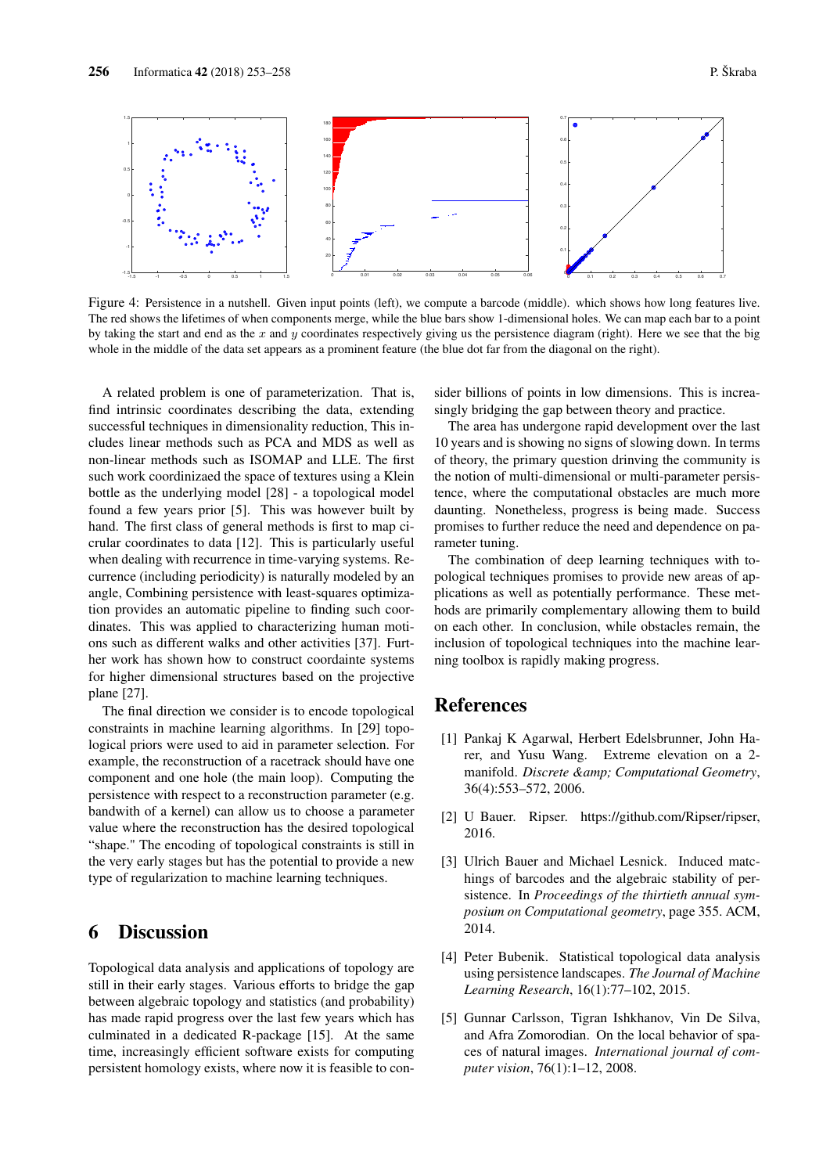

Figure 4: Persistence in a nutshell. Given input points (left), we compute a barcode (middle). which shows how long features live. The red shows the lifetimes of when components merge, while the blue bars show 1-dimensional holes. We can map each bar to a point by taking the start and end as the x and y coordinates respectively giving us the persistence diagram (right). Here we see that the big whole in the middle of the data set appears as a prominent feature (the blue dot far from the diagonal on the right).

A related problem is one of parameterization. That is, find intrinsic coordinates describing the data, extending successful techniques in dimensionality reduction, This includes linear methods such as PCA and MDS as well as non-linear methods such as ISOMAP and LLE. The first such work coordinizaed the space of textures using a Klein bottle as the underlying model [28] - a topological model found a few years prior [5]. This was however built by hand. The first class of general methods is first to map cicrular coordinates to data [12]. This is particularly useful when dealing with recurrence in time-varying systems. Recurrence (including periodicity) is naturally modeled by an angle, Combining persistence with least-squares optimization provides an automatic pipeline to finding such coordinates. This was applied to characterizing human motions such as different walks and other activities [37]. Further work has shown how to construct coordainte systems for higher dimensional structures based on the projective plane [27].

The final direction we consider is to encode topological constraints in machine learning algorithms. In [29] topological priors were used to aid in parameter selection. For example, the reconstruction of a racetrack should have one component and one hole (the main loop). Computing the persistence with respect to a reconstruction parameter (e.g. bandwith of a kernel) can allow us to choose a parameter value where the reconstruction has the desired topological "shape." The encoding of topological constraints is still in the very early stages but has the potential to provide a new type of regularization to machine learning techniques.

### 6 Discussion

Topological data analysis and applications of topology are still in their early stages. Various efforts to bridge the gap between algebraic topology and statistics (and probability) has made rapid progress over the last few years which has culminated in a dedicated R-package [15]. At the same time, increasingly efficient software exists for computing persistent homology exists, where now it is feasible to consider billions of points in low dimensions. This is increasingly bridging the gap between theory and practice.

The area has undergone rapid development over the last 10 years and is showing no signs of slowing down. In terms of theory, the primary question drinving the community is the notion of multi-dimensional or multi-parameter persistence, where the computational obstacles are much more daunting. Nonetheless, progress is being made. Success promises to further reduce the need and dependence on parameter tuning.

The combination of deep learning techniques with topological techniques promises to provide new areas of applications as well as potentially performance. These methods are primarily complementary allowing them to build on each other. In conclusion, while obstacles remain, the inclusion of topological techniques into the machine learning toolbox is rapidly making progress.

### References

- [1] Pankaj K Agarwal, Herbert Edelsbrunner, John Harer, and Yusu Wang. Extreme elevation on a 2 manifold. *Discrete & amp*; *Computational Geometry*, 36(4):553–572, 2006.
- [2] U Bauer. Ripser. https://github.com/Ripser/ripser, 2016.
- [3] Ulrich Bauer and Michael Lesnick. Induced matchings of barcodes and the algebraic stability of persistence. In *Proceedings of the thirtieth annual symposium on Computational geometry*, page 355. ACM, 2014.
- [4] Peter Bubenik. Statistical topological data analysis using persistence landscapes. *The Journal of Machine Learning Research*, 16(1):77–102, 2015.
- [5] Gunnar Carlsson, Tigran Ishkhanov, Vin De Silva, and Afra Zomorodian. On the local behavior of spaces of natural images. *International journal of computer vision*, 76(1):1–12, 2008.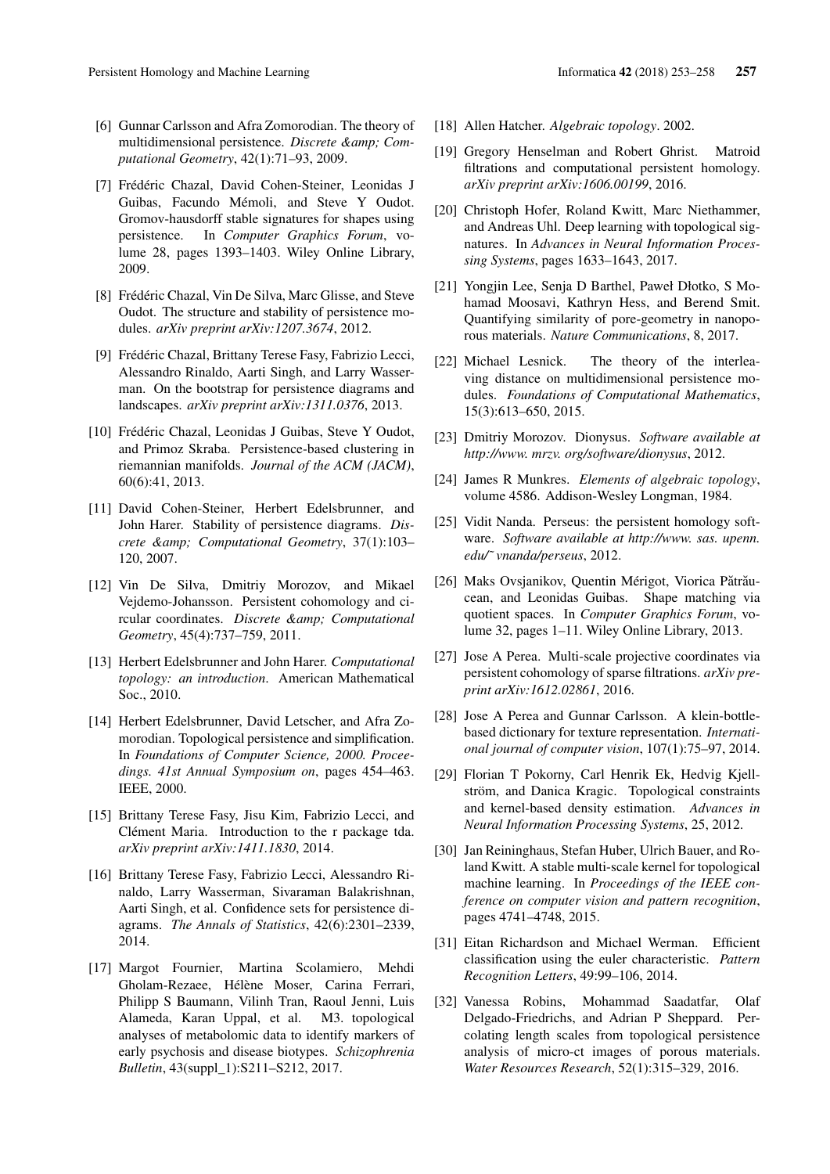- [6] Gunnar Carlsson and Afra Zomorodian. The theory of multidimensional persistence. *Discrete &amp*; Com*putational Geometry*, 42(1):71–93, 2009.
- [7] Frédéric Chazal, David Cohen-Steiner, Leonidas J Guibas, Facundo Mémoli, and Steve Y Oudot. Gromov-hausdorff stable signatures for shapes using persistence. In *Computer Graphics Forum*, volume 28, pages 1393–1403. Wiley Online Library, 2009.
- [8] Frédéric Chazal, Vin De Silva, Marc Glisse, and Steve Oudot. The structure and stability of persistence modules. *arXiv preprint arXiv:1207.3674*, 2012.
- [9] Frédéric Chazal, Brittany Terese Fasy, Fabrizio Lecci, Alessandro Rinaldo, Aarti Singh, and Larry Wasserman. On the bootstrap for persistence diagrams and landscapes. *arXiv preprint arXiv:1311.0376*, 2013.
- [10] Frédéric Chazal, Leonidas J Guibas, Steve Y Oudot, and Primoz Skraba. Persistence-based clustering in riemannian manifolds. *Journal of the ACM (JACM)*, 60(6):41, 2013.
- [11] David Cohen-Steiner, Herbert Edelsbrunner, and John Harer. Stability of persistence diagrams. *Discrete & Computational Geometry*, 37(1):103– 120, 2007.
- [12] Vin De Silva, Dmitriy Morozov, and Mikael Vejdemo-Johansson. Persistent cohomology and circular coordinates. *Discrete &amp*; *Computational Geometry*, 45(4):737–759, 2011.
- [13] Herbert Edelsbrunner and John Harer. *Computational topology: an introduction*. American Mathematical Soc., 2010.
- [14] Herbert Edelsbrunner, David Letscher, and Afra Zomorodian. Topological persistence and simplification. In *Foundations of Computer Science, 2000. Proceedings. 41st Annual Symposium on*, pages 454–463. IEEE, 2000.
- [15] Brittany Terese Fasy, Jisu Kim, Fabrizio Lecci, and Clément Maria. Introduction to the r package tda. *arXiv preprint arXiv:1411.1830*, 2014.
- [16] Brittany Terese Fasy, Fabrizio Lecci, Alessandro Rinaldo, Larry Wasserman, Sivaraman Balakrishnan, Aarti Singh, et al. Confidence sets for persistence diagrams. *The Annals of Statistics*, 42(6):2301–2339, 2014.
- [17] Margot Fournier, Martina Scolamiero, Mehdi Gholam-Rezaee, Hélène Moser, Carina Ferrari, Philipp S Baumann, Vilinh Tran, Raoul Jenni, Luis Alameda, Karan Uppal, et al. M3. topological analyses of metabolomic data to identify markers of early psychosis and disease biotypes. *Schizophrenia Bulletin*, 43(suppl\_1):S211–S212, 2017.
- [18] Allen Hatcher. *Algebraic topology*. 2002.
- [19] Gregory Henselman and Robert Ghrist. Matroid filtrations and computational persistent homology. *arXiv preprint arXiv:1606.00199*, 2016.
- [20] Christoph Hofer, Roland Kwitt, Marc Niethammer, and Andreas Uhl. Deep learning with topological signatures. In *Advances in Neural Information Processing Systems*, pages 1633–1643, 2017.
- [21] Yongjin Lee, Senja D Barthel, Paweł Dłotko, S Mohamad Moosavi, Kathryn Hess, and Berend Smit. Quantifying similarity of pore-geometry in nanoporous materials. *Nature Communications*, 8, 2017.
- [22] Michael Lesnick. The theory of the interleaving distance on multidimensional persistence modules. *Foundations of Computational Mathematics*, 15(3):613–650, 2015.
- [23] Dmitriy Morozov. Dionysus. *Software available at http://www. mrzv. org/software/dionysus*, 2012.
- [24] James R Munkres. *Elements of algebraic topology*, volume 4586. Addison-Wesley Longman, 1984.
- [25] Vidit Nanda. Perseus: the persistent homology software. *Software available at http://www. sas. upenn. edu/˜ vnanda/perseus*, 2012.
- [26] Maks Ovsjanikov, Quentin Mérigot, Viorica Pătrăucean, and Leonidas Guibas. Shape matching via quotient spaces. In *Computer Graphics Forum*, volume 32, pages 1–11. Wiley Online Library, 2013.
- [27] Jose A Perea. Multi-scale projective coordinates via persistent cohomology of sparse filtrations. *arXiv preprint arXiv:1612.02861*, 2016.
- [28] Jose A Perea and Gunnar Carlsson. A klein-bottlebased dictionary for texture representation. *International journal of computer vision*, 107(1):75–97, 2014.
- [29] Florian T Pokorny, Carl Henrik Ek, Hedvig Kjellström, and Danica Kragic. Topological constraints and kernel-based density estimation. *Advances in Neural Information Processing Systems*, 25, 2012.
- [30] Jan Reininghaus, Stefan Huber, Ulrich Bauer, and Roland Kwitt. A stable multi-scale kernel for topological machine learning. In *Proceedings of the IEEE conference on computer vision and pattern recognition*, pages 4741–4748, 2015.
- [31] Eitan Richardson and Michael Werman. Efficient classification using the euler characteristic. *Pattern Recognition Letters*, 49:99–106, 2014.
- [32] Vanessa Robins, Mohammad Saadatfar, Olaf Delgado-Friedrichs, and Adrian P Sheppard. Percolating length scales from topological persistence analysis of micro-ct images of porous materials. *Water Resources Research*, 52(1):315–329, 2016.